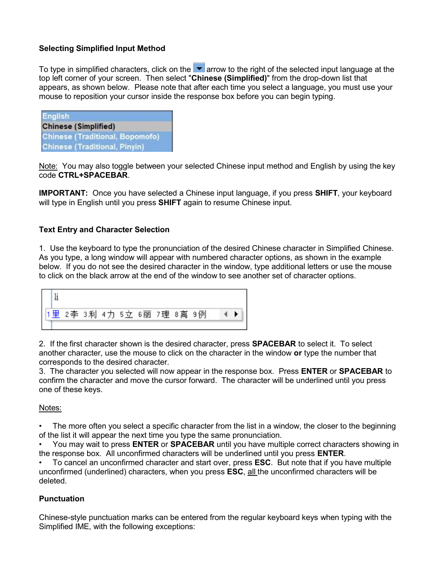## **Selecting Simplified Input Method**

To type in simplified characters, click on the  $\blacktriangledown$  arrow to the right of the selected input language at the top left corner of your screen. Then select "**Chinese (Simplified)**" from the drop-down list that appears, as shown below. Please note that after each time you select a language, you must use your mouse to reposition your cursor inside the response box before you can begin typing.

| <b>English</b> |                                        |
|----------------|----------------------------------------|
|                | <b>Chinese (Simplified)</b>            |
|                | <b>Chinese (Traditional, Bopomofo)</b> |
|                | <b>Chinese (Traditional, Pinyin)</b>   |

Note: You may also toggle between your selected Chinese input method and English by using the key code **CTRL+SPACEBAR**.

**IMPORTANT:** Once you have selected a Chinese input language, if you press **SHIFT**, your keyboard will type in English until you press **SHIFT** again to resume Chinese input.

## **Text Entry and Character Selection**

1. Use the keyboard to type the pronunciation of the desired Chinese character in Simplified Chinese. As you type, a long window will appear with numbered character options, as shown in the example below. If you do not see the desired character in the window, type additional letters or use the mouse to click on the black arrow at the end of the window to see another set of character options.



2. If the first character shown is the desired character, press **SPACEBAR** to select it. To select another character, use the mouse to click on the character in the window **or** type the number that corresponds to the desired character.

3. The character you selected will now appear in the response box. Press **ENTER** or **SPACEBAR** to confirm the character and move the cursor forward. The character will be underlined until you press one of these keys.

## Notes:

• The more often you select a specific character from the list in a window, the closer to the beginning of the list it will appear the next time you type the same pronunciation.

• You may wait to press **ENTER** or **SPACEBAR** until you have multiple correct characters showing in the response box. All unconfirmed characters will be underlined until you press **ENTER**.

• To cancel an unconfirmed character and start over, press **ESC**. But note that if you have multiple unconfirmed (underlined) characters, when you press **ESC**, all the unconfirmed characters will be deleted.

## **Punctuation**

Chinese-style punctuation marks can be entered from the regular keyboard keys when typing with the Simplified IME, with the following exceptions: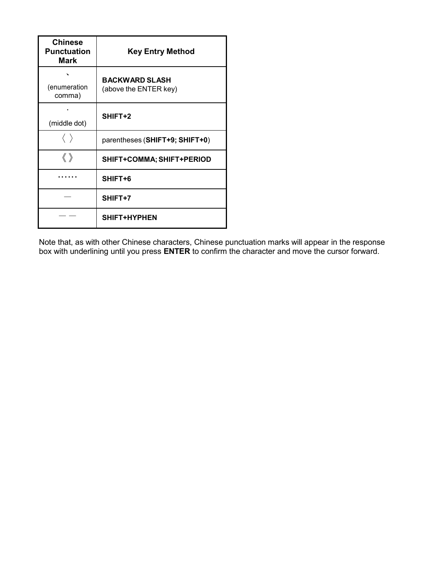| <b>Chinese</b><br><b>Punctuation</b><br><b>Mark</b> | <b>Key Entry Method</b>                        |  |
|-----------------------------------------------------|------------------------------------------------|--|
| (enumeration<br>comma)                              | <b>BACKWARD SLASH</b><br>(above the ENTER key) |  |
| (middle dot)                                        | SHIFT+2                                        |  |
|                                                     | parentheses (SHIFT+9; SHIFT+0)                 |  |
| $\langle\!\langle\;\rangle\!\rangle$                | SHIFT+COMMA; SHIFT+PERIOD                      |  |
|                                                     | SHIFT+6                                        |  |
|                                                     | SHIFT+7                                        |  |
|                                                     | SHIFT+HYPHEN                                   |  |

Note that, as with other Chinese characters, Chinese punctuation marks will appear in the response box with underlining until you press **ENTER** to confirm the character and move the cursor forward.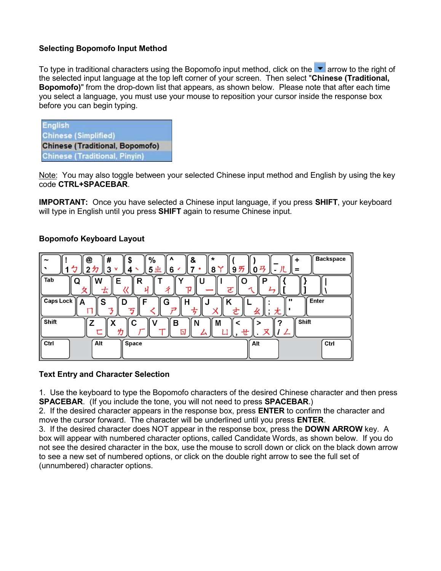## **Selecting Bopomofo Input Method**

To type in traditional characters using the Bopomofo input method, click on the  $\blacksquare$  arrow to the right of the selected input language at the top left corner of your screen. Then select "**Chinese (Traditional, Bopomofo)**" from the drop-down list that appears, as shown below. Please note that after each time you select a language, you must use your mouse to reposition your cursor inside the response box before you can begin typing.

| <b>English</b> |                                        |  |
|----------------|----------------------------------------|--|
|                | <b>Chinese (Simplified)</b>            |  |
|                | <b>Chinese (Traditional, Bopomofo)</b> |  |
|                | <b>Chinese (Traditional, Pinyin)</b>   |  |

Note: You may also toggle between your selected Chinese input method and English by using the key code **CTRL+SPACEBAR**.

**IMPORTANT:** Once you have selected a Chinese input language, if you press **SHIFT**, your keyboard will type in English until you press **SHIFT** again to resume Chinese input.

## **Bopomofo Keyboard Layout**

| <b>Backspace</b><br>#<br>$\%$<br>*<br>@<br>&<br>$\mathbf{v}$<br>$\tilde{}$<br>0 <sub>7</sub><br>ク<br>9 <sub><br/>6<br/>5<sup>1</sup><br/><math>2 \pi</math><br/>3<br/>8<br/>=</sub> |
|-------------------------------------------------------------------------------------------------------------------------------------------------------------------------------------|
| Tab<br>E<br>w<br>R<br>P<br>O<br>Q<br>ŢJ<br>ਟ<br>士                                                                                                                                   |
| <b>Caps Lock</b><br>Enter<br>$\mathbf{H}$<br>S<br>G<br>D<br>A<br>ヮ<br>≠<br>尢                                                                                                        |
| Shift<br>Shift<br>с<br>в<br>M<br>Z<br>N<br>⊡<br>╫                                                                                                                                   |
| Ctrl<br>Alt<br>Space<br>Ctrl<br>Alt                                                                                                                                                 |

#### **Text Entry and Character Selection**

1. Use the keyboard to type the Bopomofo characters of the desired Chinese character and then press **SPACEBAR**. (If you include the tone, you will not need to press **SPACEBAR**.)

2. If the desired character appears in the response box, press **ENTER** to confirm the character and move the cursor forward. The character will be underlined until you press **ENTER**.

3. If the desired character does NOT appear in the response box, press the **DOWN ARROW** key. A box will appear with numbered character options, called Candidate Words, as shown below. If you do not see the desired character in the box, use the mouse to scroll down or click on the black down arrow to see a new set of numbered options, or click on the double right arrow to see the full set of (unnumbered) character options.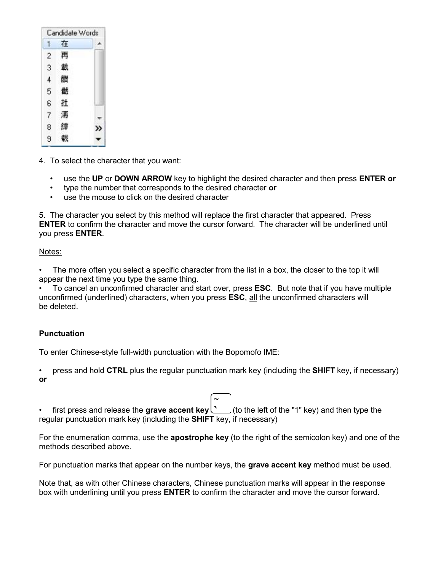| 1              | 在 |    |
|----------------|---|----|
| 2              | 再 |    |
| 3              | 截 |    |
| $\overline{4}$ | 饡 |    |
| 5              | 儎 |    |
| e              | 扗 |    |
| 7              | 洅 |    |
| 8              | 罉 | >> |
| 9              | 羲 |    |

4. To select the character that you want:

- use the **UP** or **DOWN ARROW** key to highlight the desired character and then press **ENTER or**
- type the number that corresponds to the desired character **or**
- use the mouse to click on the desired character

5. The character you select by this method will replace the first character that appeared. Press **ENTER** to confirm the character and move the cursor forward. The character will be underlined until you press **ENTER**.

## Notes:

The more often you select a specific character from the list in a box, the closer to the top it will appear the next time you type the same thing.

• To cancel an unconfirmed character and start over, press **ESC**. But note that if you have multiple unconfirmed (underlined) characters, when you press **ESC**, all the unconfirmed characters will be deleted.

## **Punctuation**

To enter Chinese-style full-width punctuation with the Bopomofo IME:

• press and hold **CTRL** plus the regular punctuation mark key (including the **SHIFT** key, if necessary) **or**

first press and release the grave accent key  $\sim$  (to the left of the "1" key) and then type the regular punctuation mark key (including the **SHIFT** key, if necessary)

For the enumeration comma, use the **apostrophe key** (to the right of the semicolon key) and one of the methods described above.

For punctuation marks that appear on the number keys, the **grave accent key** method must be used.

Note that, as with other Chinese characters, Chinese punctuation marks will appear in the response box with underlining until you press **ENTER** to confirm the character and move the cursor forward.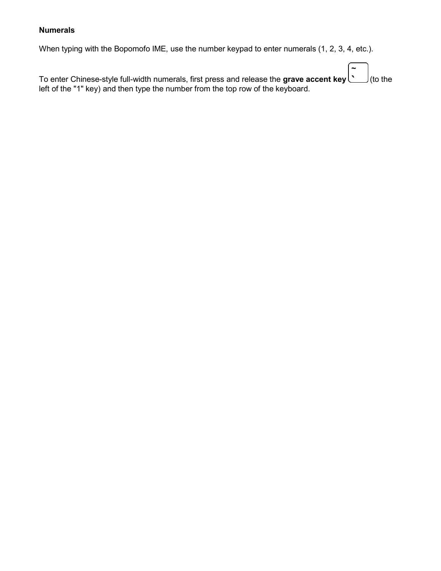# **Numerals**

When typing with the Bopomofo IME, use the number keypad to enter numerals (1, 2, 3, 4, etc.).

| To enter Chinese-style full-width numerals, first press and release the grave accent key $\sim$ (to the<br>left of the "1" key) and then type the number from the top row of the keyboard. |  |
|--------------------------------------------------------------------------------------------------------------------------------------------------------------------------------------------|--|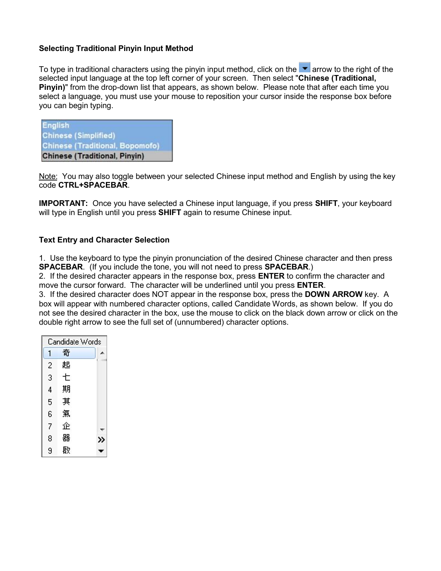### **Selecting Traditional Pinyin Input Method**

To type in traditional characters using the pinyin input method, click on the  $\blacksquare$  arrow to the right of the selected input language at the top left corner of your screen. Then select "**Chinese (Traditional, Pinyin)**" from the drop-down list that appears, as shown below. Please note that after each time you select a language, you must use your mouse to reposition your cursor inside the response box before you can begin typing.

| <b>English</b> | <b>Chinese (Simplified)</b>            |  |
|----------------|----------------------------------------|--|
|                | <b>Chinese (Traditional, Bopomofo)</b> |  |
|                | <b>Chinese (Traditional, Pinyin)</b>   |  |

Note: You may also toggle between your selected Chinese input method and English by using the key code **CTRL+SPACEBAR**.

**IMPORTANT:** Once you have selected a Chinese input language, if you press **SHIFT**, your keyboard will type in English until you press **SHIFT** again to resume Chinese input.

## **Text Entry and Character Selection**

1. Use the keyboard to type the pinyin pronunciation of the desired Chinese character and then press **SPACEBAR**. (If you include the tone, you will not need to press **SPACEBAR**.)

2. If the desired character appears in the response box, press **ENTER** to confirm the character and move the cursor forward. The character will be underlined until you press **ENTER**.

3. If the desired character does NOT appear in the response box, press the **DOWN ARROW** key. A box will appear with numbered character options, called Candidate Words, as shown below. If you do not see the desired character in the box, use the mouse to click on the black down arrow or click on the double right arrow to see the full set of (unnumbered) character options.

|                | Candidate Words |  |
|----------------|-----------------|--|
| 1              | 奇               |  |
| $\overline{c}$ | 起               |  |
| 3              | t               |  |
| 4              | 期               |  |
| 5              | 其               |  |
| 6              | 氣               |  |
| 7              | 企               |  |
| 8              | 뾺               |  |
| 9              | 啟               |  |